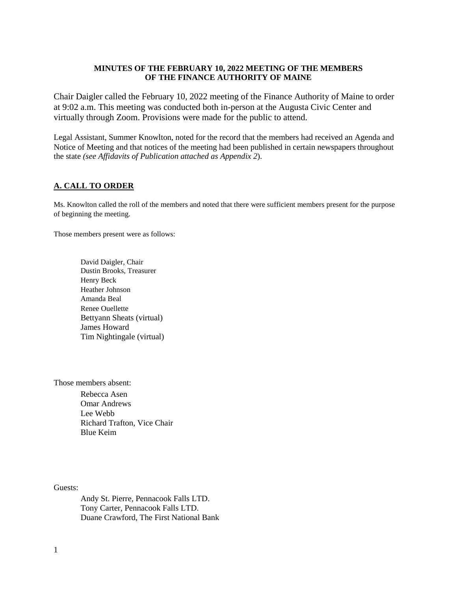### **MINUTES OF THE FEBRUARY 10, 2022 MEETING OF THE MEMBERS OF THE FINANCE AUTHORITY OF MAINE**

Chair Daigler called the February 10, 2022 meeting of the Finance Authority of Maine to order at 9:02 a.m. This meeting was conducted both in-person at the Augusta Civic Center and virtually through Zoom. Provisions were made for the public to attend.

Legal Assistant, Summer Knowlton, noted for the record that the members had received an Agenda and Notice of Meeting and that notices of the meeting had been published in certain newspapers throughout the state *(see Affidavits of Publication attached as Appendix 2*).

# **A. CALL TO ORDER**

Ms. Knowlton called the roll of the members and noted that there were sufficient members present for the purpose of beginning the meeting.

Those members present were as follows:

David Daigler, Chair Dustin Brooks, Treasurer Henry Beck Heather Johnson Amanda Beal Renee Ouellette Bettyann Sheats (virtual) James Howard Tim Nightingale (virtual)

Those members absent:

Rebecca Asen Omar Andrews Lee Webb Richard Trafton, Vice Chair Blue Keim

Guests:

Andy St. Pierre, Pennacook Falls LTD. Tony Carter, Pennacook Falls LTD. Duane Crawford, The First National Bank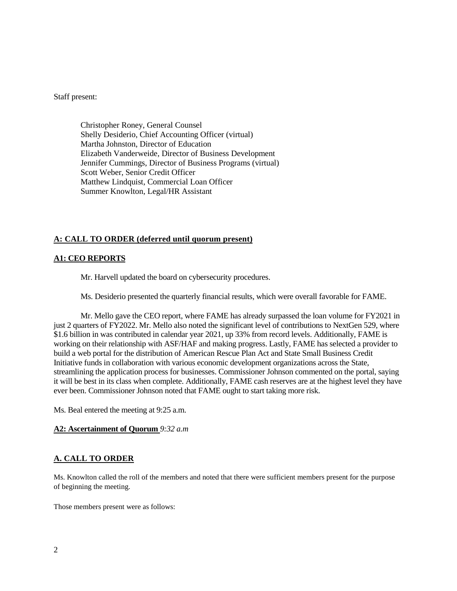Staff present:

Christopher Roney, General Counsel Shelly Desiderio, Chief Accounting Officer (virtual) Martha Johnston, Director of Education Elizabeth Vanderweide, Director of Business Development Jennifer Cummings, Director of Business Programs (virtual) Scott Weber, Senior Credit Officer Matthew Lindquist, Commercial Loan Officer Summer Knowlton, Legal/HR Assistant

# **A: CALL TO ORDER (deferred until quorum present)**

# **A1: CEO REPORTS**

Mr. Harvell updated the board on cybersecurity procedures.

Ms. Desiderio presented the quarterly financial results, which were overall favorable for FAME.

Mr. Mello gave the CEO report, where FAME has already surpassed the loan volume for FY2021 in just 2 quarters of FY2022. Mr. Mello also noted the significant level of contributions to NextGen 529, where \$1.6 billion in was contributed in calendar year 2021, up 33% from record levels. Additionally, FAME is working on their relationship with ASF/HAF and making progress. Lastly, FAME has selected a provider to build a web portal for the distribution of American Rescue Plan Act and State Small Business Credit Initiative funds in collaboration with various economic development organizations across the State, streamlining the application process for businesses. Commissioner Johnson commented on the portal, saying it will be best in its class when complete. Additionally, FAME cash reserves are at the highest level they have ever been. Commissioner Johnson noted that FAME ought to start taking more risk.

Ms. Beal entered the meeting at 9:25 a.m.

#### **A2: Ascertainment of Quorum** *9:32 a.m*

# **A. CALL TO ORDER**

Ms. Knowlton called the roll of the members and noted that there were sufficient members present for the purpose of beginning the meeting.

Those members present were as follows: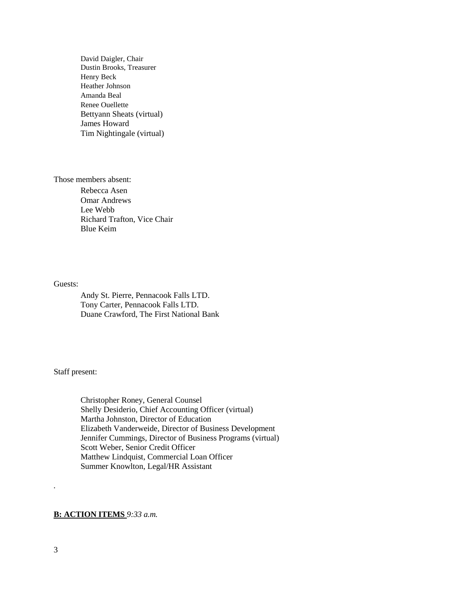David Daigler, Chair Dustin Brooks, Treasurer Henry Beck Heather Johnson Amanda Beal Renee Ouellette Bettyann Sheats (virtual) James Howard Tim Nightingale (virtual)

Those members absent:

Rebecca Asen Omar Andrews Lee Webb Richard Trafton, Vice Chair Blue Keim

#### Guests:

Andy St. Pierre, Pennacook Falls LTD. Tony Carter, Pennacook Falls LTD. Duane Crawford, The First National Bank

# Staff present:

Christopher Roney, General Counsel Shelly Desiderio, Chief Accounting Officer (virtual) Martha Johnston, Director of Education Elizabeth Vanderweide, Director of Business Development Jennifer Cummings, Director of Business Programs (virtual) Scott Weber, Senior Credit Officer Matthew Lindquist, Commercial Loan Officer Summer Knowlton, Legal/HR Assistant

# **B: ACTION ITEMS** *9:33 a.m.*

*.*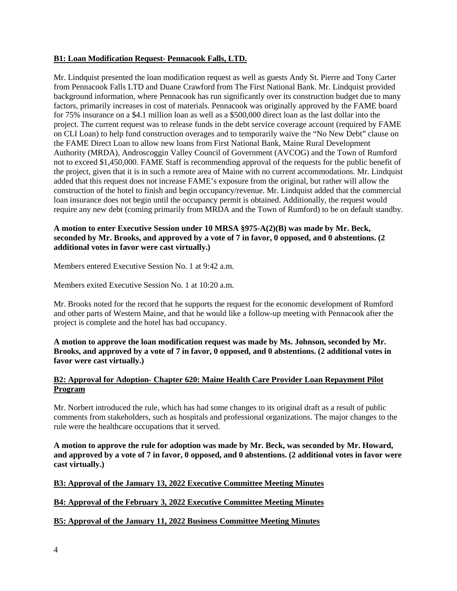# **B1: Loan Modification Request- Pennacook Falls, LTD.**

Mr. Lindquist presented the loan modification request as well as guests Andy St. Pierre and Tony Carter from Pennacook Falls LTD and Duane Crawford from The First National Bank. Mr. Lindquist provided background information, where Pennacook has run significantly over its construction budget due to many factors, primarily increases in cost of materials. Pennacook was originally approved by the FAME board for 75% insurance on a \$4.1 million loan as well as a \$500,000 direct loan as the last dollar into the project. The current request was to release funds in the debt service coverage account (required by FAME on CLI Loan) to help fund construction overages and to temporarily waive the "No New Debt" clause on the FAME Direct Loan to allow new loans from First National Bank, Maine Rural Development Authority (MRDA), Androscoggin Valley Council of Government (AVCOG) and the Town of Rumford not to exceed \$1,450,000. FAME Staff is recommending approval of the requests for the public benefit of the project, given that it is in such a remote area of Maine with no current accommodations. Mr. Lindquist added that this request does not increase FAME's exposure from the original, but rather will allow the construction of the hotel to finish and begin occupancy/revenue. Mr. Lindquist added that the commercial loan insurance does not begin until the occupancy permit is obtained. Additionally, the request would require any new debt (coming primarily from MRDA and the Town of Rumford) to be on default standby.

# **A motion to enter Executive Session under 10 MRSA §975-A(2)(B) was made by Mr. Beck, seconded by Mr. Brooks, and approved by a vote of 7 in favor, 0 opposed, and 0 abstentions. (2 additional votes in favor were cast virtually.)**

Members entered Executive Session No. 1 at 9:42 a.m.

Members exited Executive Session No. 1 at 10:20 a.m.

Mr. Brooks noted for the record that he supports the request for the economic development of Rumford and other parts of Western Maine, and that he would like a follow-up meeting with Pennacook after the project is complete and the hotel has had occupancy.

**A motion to approve the loan modification request was made by Ms. Johnson, seconded by Mr. Brooks, and approved by a vote of 7 in favor, 0 opposed, and 0 abstentions. (2 additional votes in favor were cast virtually.)** 

# **B2: Approval for Adoption- Chapter 620: Maine Health Care Provider Loan Repayment Pilot Program**

Mr. Norbert introduced the rule, which has had some changes to its original draft as a result of public comments from stakeholders, such as hospitals and professional organizations. The major changes to the rule were the healthcare occupations that it served.

**A motion to approve the rule for adoption was made by Mr. Beck, was seconded by Mr. Howard, and approved by a vote of 7 in favor, 0 opposed, and 0 abstentions. (2 additional votes in favor were cast virtually.)** 

# **B3: Approval of the January 13, 2022 Executive Committee Meeting Minutes**

# **B4: Approval of the February 3, 2022 Executive Committee Meeting Minutes**

# **B5: Approval of the January 11, 2022 Business Committee Meeting Minutes**